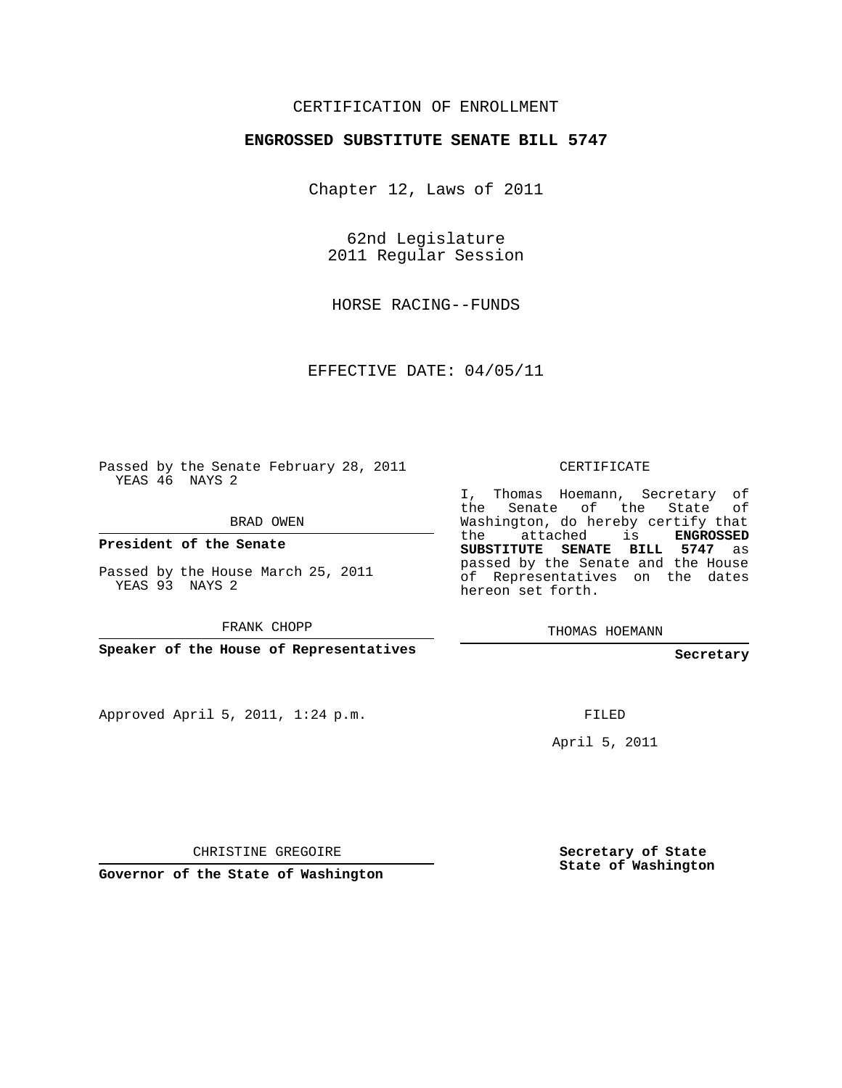## CERTIFICATION OF ENROLLMENT

## **ENGROSSED SUBSTITUTE SENATE BILL 5747**

Chapter 12, Laws of 2011

62nd Legislature 2011 Regular Session

HORSE RACING--FUNDS

EFFECTIVE DATE: 04/05/11

Passed by the Senate February 28, 2011 YEAS 46 NAYS 2

BRAD OWEN

**President of the Senate**

Passed by the House March 25, 2011 YEAS 93 NAYS 2

FRANK CHOPP

**Speaker of the House of Representatives**

Approved April 5, 2011, 1:24 p.m.

CERTIFICATE

I, Thomas Hoemann, Secretary of the Senate of the State of Washington, do hereby certify that the attached is **ENGROSSED SUBSTITUTE SENATE BILL 5747** as passed by the Senate and the House of Representatives on the dates hereon set forth.

THOMAS HOEMANN

**Secretary**

FILED

April 5, 2011

CHRISTINE GREGOIRE

**Governor of the State of Washington**

**Secretary of State State of Washington**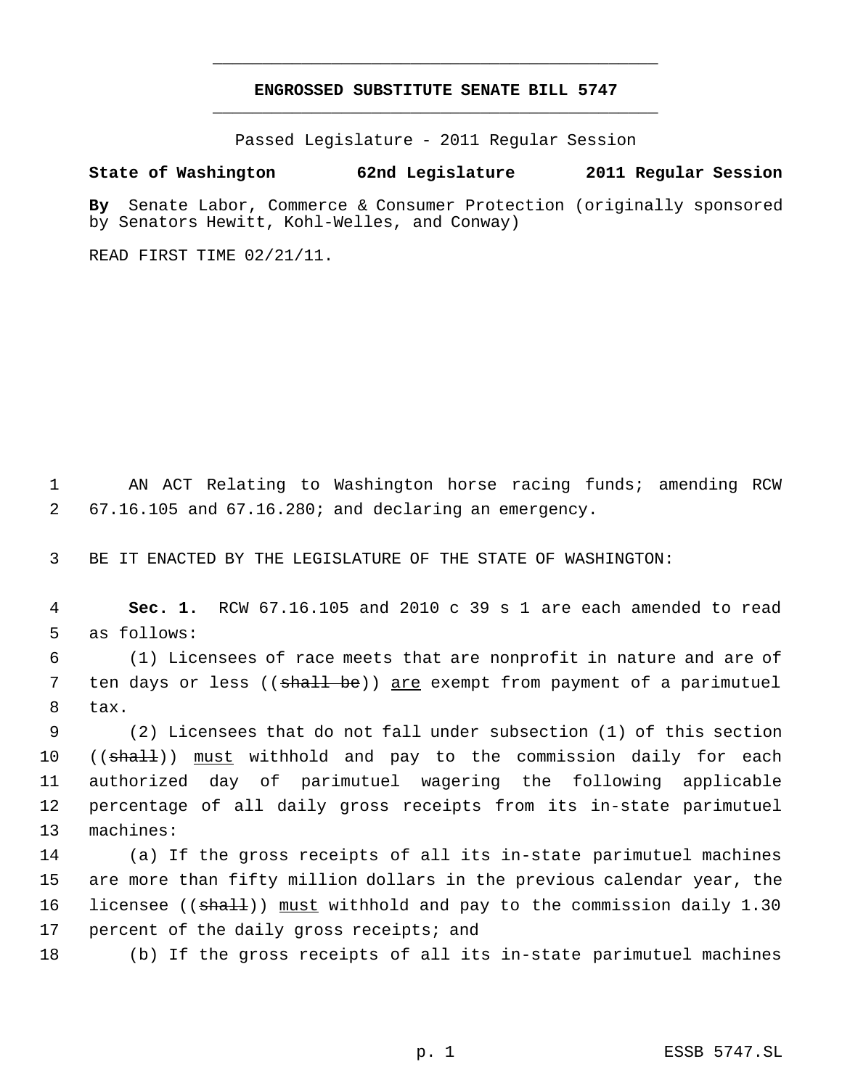## **ENGROSSED SUBSTITUTE SENATE BILL 5747** \_\_\_\_\_\_\_\_\_\_\_\_\_\_\_\_\_\_\_\_\_\_\_\_\_\_\_\_\_\_\_\_\_\_\_\_\_\_\_\_\_\_\_\_\_

\_\_\_\_\_\_\_\_\_\_\_\_\_\_\_\_\_\_\_\_\_\_\_\_\_\_\_\_\_\_\_\_\_\_\_\_\_\_\_\_\_\_\_\_\_

Passed Legislature - 2011 Regular Session

## **State of Washington 62nd Legislature 2011 Regular Session**

**By** Senate Labor, Commerce & Consumer Protection (originally sponsored by Senators Hewitt, Kohl-Welles, and Conway)

READ FIRST TIME 02/21/11.

 1 AN ACT Relating to Washington horse racing funds; amending RCW 2 67.16.105 and 67.16.280; and declaring an emergency.

3 BE IT ENACTED BY THE LEGISLATURE OF THE STATE OF WASHINGTON:

 4 **Sec. 1.** RCW 67.16.105 and 2010 c 39 s 1 are each amended to read 5 as follows:

 6 (1) Licensees of race meets that are nonprofit in nature and are of 7 ten days or less ((shall be)) are exempt from payment of a parimutuel 8 tax.

 (2) Licensees that do not fall under subsection (1) of this section 10 ((shall)) must withhold and pay to the commission daily for each authorized day of parimutuel wagering the following applicable percentage of all daily gross receipts from its in-state parimutuel machines:

14 (a) If the gross receipts of all its in-state parimutuel machines 15 are more than fifty million dollars in the previous calendar year, the 16 Iicensee ((shall)) must withhold and pay to the commission daily 1.30 17 percent of the daily gross receipts; and

18 (b) If the gross receipts of all its in-state parimutuel machines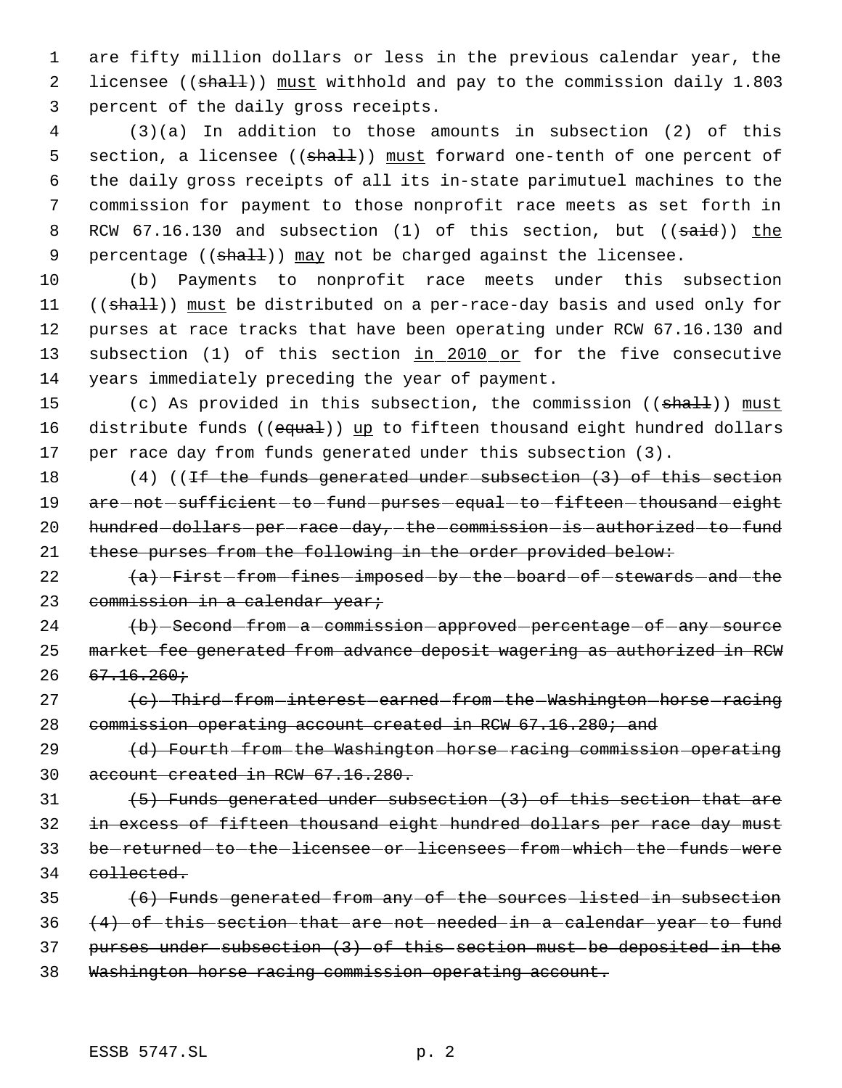1 are fifty million dollars or less in the previous calendar year, the 2 licensee ((shall)) must withhold and pay to the commission daily 1.803 3 percent of the daily gross receipts.

 4 (3)(a) In addition to those amounts in subsection (2) of this 5 section, a licensee ((shall)) must forward one-tenth of one percent of 6 the daily gross receipts of all its in-state parimutuel machines to the 7 commission for payment to those nonprofit race meets as set forth in 8 RCW 67.16.130 and subsection (1) of this section, but ((said)) the 9 percentage ((shall)) may not be charged against the licensee.

10 (b) Payments to nonprofit race meets under this subsection 11 ((shall)) must be distributed on a per-race-day basis and used only for 12 purses at race tracks that have been operating under RCW 67.16.130 and 13 subsection (1) of this section in 2010 or for the five consecutive 14 years immediately preceding the year of payment.

15 (c) As provided in this subsection, the commission ((shall)) must 16 distribute funds ((equal)) up to fifteen thousand eight hundred dollars 17 per race day from funds generated under this subsection (3).

18 (4) ((<del>If the funds generated under subsection (3) of this section</del> 19 are -not -sufficient -to -fund -purses -equal -to -fifteen -thousand -eight 20 hundred-dollars-per-race-day,-the-commission-is-authorized-to-fund 21 these purses from the following in the order provided below:

22  $\{a\}$  -First from fines imposed by the board of stewards and the 23 commission in a calendar year;

24 (b) Second from a commission approved percentage of any source 25 market fee generated from advance deposit wagering as authorized in RCW  $26 \quad 67.16.260 \dot{r}$ 

27 (e) Third from interest earned from the Washington horse racing 28 commission operating account created in RCW 67.16.280; and

29 (d) Fourth from the Washington horse racing commission operating 30 account created in RCW 67.16.280.

 $(5)$  Funds generated under subsection  $(3)$  of this section that are in excess of fifteen thousand eight hundred dollars per race day must 33 be returned to the licensee or licensees from which the funds were collected.

 (6) Funds generated from any of the sources listed in subsection (4) of this section that are not needed in a calendar year to fund purses under subsection (3) of this section must be deposited in the Washington horse racing commission operating account.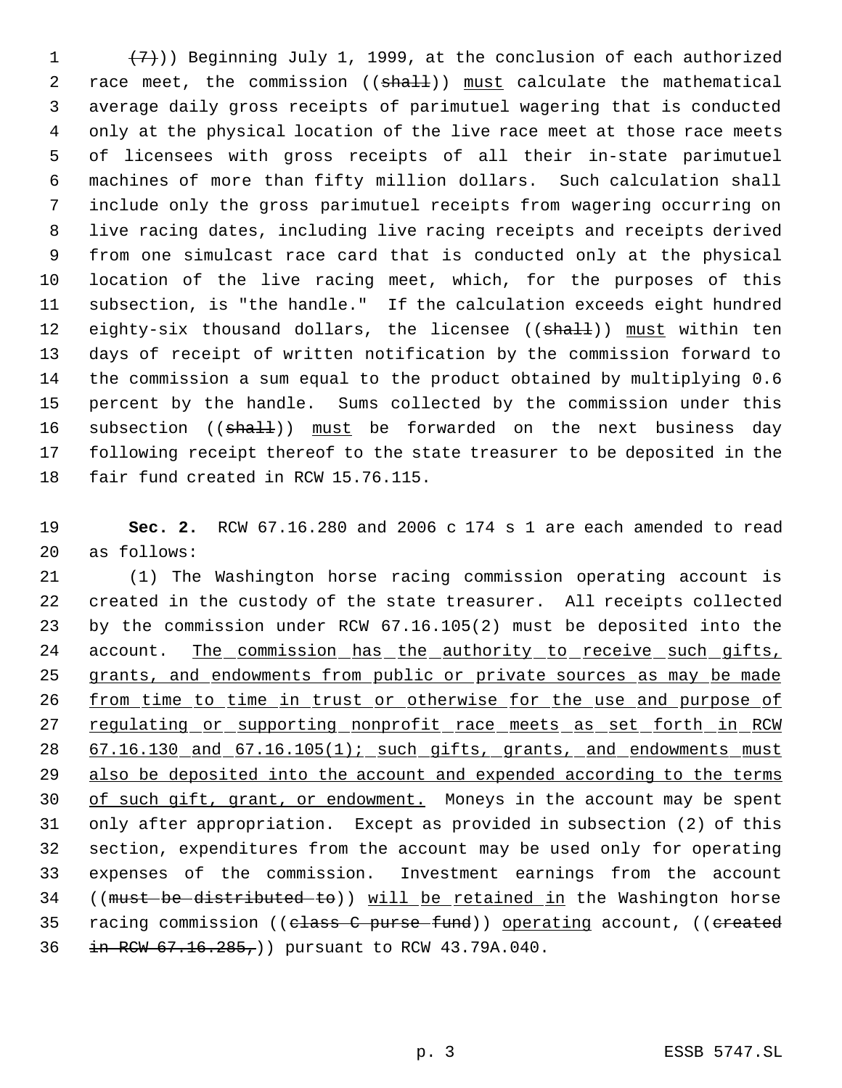$(7)$ )) Beginning July 1, 1999, at the conclusion of each authorized 2 race meet, the commission ((shall)) must calculate the mathematical average daily gross receipts of parimutuel wagering that is conducted only at the physical location of the live race meet at those race meets of licensees with gross receipts of all their in-state parimutuel machines of more than fifty million dollars. Such calculation shall include only the gross parimutuel receipts from wagering occurring on live racing dates, including live racing receipts and receipts derived from one simulcast race card that is conducted only at the physical location of the live racing meet, which, for the purposes of this subsection, is "the handle." If the calculation exceeds eight hundred 12 eighty-six thousand dollars, the licensee ((shall)) must within ten days of receipt of written notification by the commission forward to the commission a sum equal to the product obtained by multiplying 0.6 percent by the handle. Sums collected by the commission under this 16 subsection ((shall)) must be forwarded on the next business day following receipt thereof to the state treasurer to be deposited in the fair fund created in RCW 15.76.115.

 **Sec. 2.** RCW 67.16.280 and 2006 c 174 s 1 are each amended to read as follows:

 (1) The Washington horse racing commission operating account is created in the custody of the state treasurer. All receipts collected by the commission under RCW 67.16.105(2) must be deposited into the 24 account. The commission has the authority to receive such gifts, 25 grants, and endowments from public or private sources as may be made 26 from time to time in trust or otherwise for the use and purpose of 27 regulating or supporting nonprofit race meets as set forth in RCW 28 67.16.130 and 67.16.105(1); such gifts, grants, and endowments must also be deposited into the account and expended according to the terms 30 of such gift, grant, or endowment. Moneys in the account may be spent only after appropriation. Except as provided in subsection (2) of this section, expenditures from the account may be used only for operating expenses of the commission. Investment earnings from the account ((must be distributed to)) will be retained in the Washington horse 35 racing commission ((class C purse fund)) operating account, ((created in RCW 67.16.285,)) pursuant to RCW 43.79A.040.